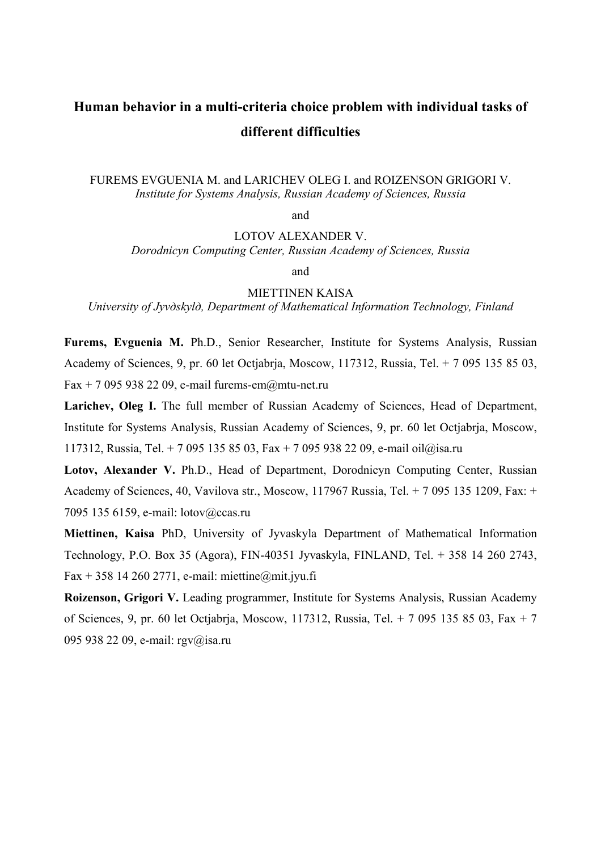FUREMS EVGUENIA M. and LARICHEV OLEG I. and ROIZENSON GRIGORI V. *Institute for Systems Analysis, Russian Academy of Sciences, Russia*

and

LOTOV ALEXANDER V.

*Dorodnicyn Computing Center, Russian Academy of Sciences, Russia*

and

MIETTINEN KAISA

*University of Jyvдskylд, Department of Mathematical Information Technology, Finland*

**Furems, Evguenia M.** Ph.D., Senior Researcher, Institute for Systems Analysis, Russian Academy of Sciences, 9, pr. 60 let Octjabrja, Moscow, 117312, Russia, Tel. + 7 095 135 85 03, Fax + 7 095 938 22 09, e-mail furems-em@mtu-net.ru

Larichev, Oleg I. The full member of Russian Academy of Sciences, Head of Department, Institute for Systems Analysis, Russian Academy of Sciences, 9, pr. 60 let Octjabrja, Moscow, 117312, Russia, Tel. + 7 095 135 85 03, Fax + 7 095 938 22 09, e-mail oil@isa.ru

**Lotov, Alexander V.** Ph.D., Head of Department, Dorodnicyn Computing Center, Russian Academy of Sciences, 40, Vavilova str., Moscow, 117967 Russia, Tel. + 7 095 135 1209, Fax: + 7095 135 6159, e-mail: lotov@ccas.ru

**Miettinen, Kaisa** PhD, University of Jyvaskyla Department of Mathematical Information Technology, P.O. Box 35 (Agora), FIN-40351 Jyvaskyla, FINLAND, Tel. + 358 14 260 2743, Fax + 358 14 260 2771, e-mail: miettine@mit.jyu.fi

**Roizenson, Grigori V.** Leading programmer, Institute for Systems Analysis, Russian Academy of Sciences, 9, pr. 60 let Octjabrja, Moscow, 117312, Russia, Tel. + 7 095 135 85 03, Fax + 7 095 938 22 09, e-mail: rgv@isa.ru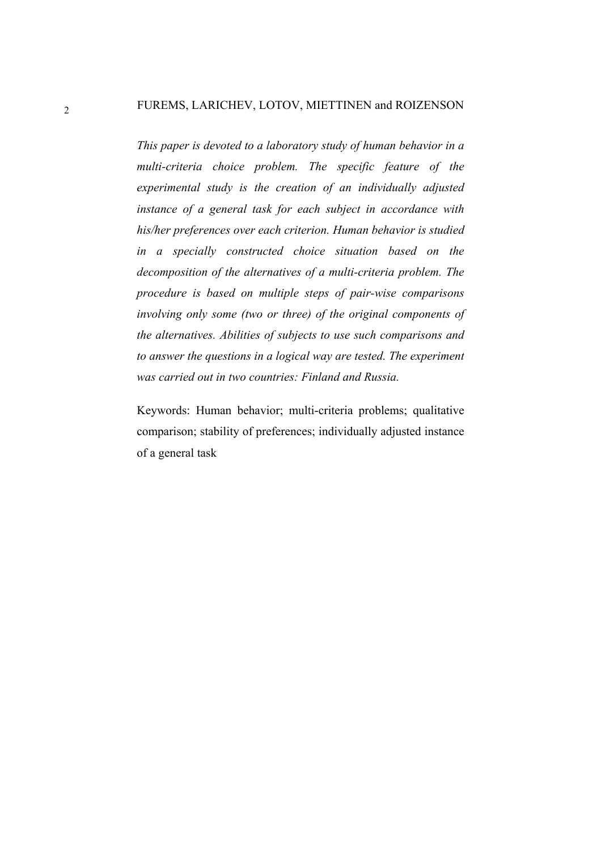*This paper is devoted to a laboratory study of human behavior in a multi-criteria choice problem. The specific feature of the experimental study is the creation of an individually adjusted instance of a general task for each subject in accordance with his/her preferences over each criterion. Human behavior is studied in a specially constructed choice situation based on the decomposition of the alternatives of a multi-criteria problem. The procedure is based on multiple steps of pair-wise comparisons involving only some (two or three) of the original components of the alternatives. Abilities of subjects to use such comparisons and to answer the questions in a logical way are tested. The experiment was carried out in two countries: Finland and Russia.*

Keywords: Human behavior; multi-criteria problems; qualitative comparison; stability of preferences; individually adjusted instance of a general task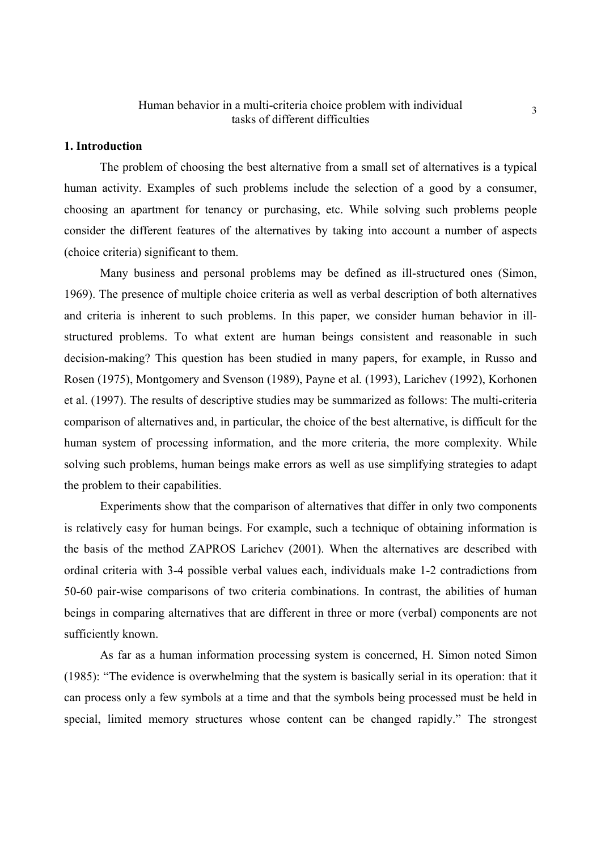#### **1. Introduction**

The problem of choosing the best alternative from a small set of alternatives is a typical human activity. Examples of such problems include the selection of a good by a consumer, choosing an apartment for tenancy or purchasing, etc. While solving such problems people consider the different features of the alternatives by taking into account a number of aspects (choice criteria) significant to them.

Many business and personal problems may be defined as ill-structured ones (Simon, 1969). The presence of multiple choice criteria as well as verbal description of both alternatives and criteria is inherent to such problems. In this paper, we consider human behavior in illstructured problems. To what extent are human beings consistent and reasonable in such decision-making? This question has been studied in many papers, for example, in Russo and Rosen (1975), Montgomery and Svenson (1989), Payne et al. (1993), Larichev (1992), Korhonen et al. (1997). The results of descriptive studies may be summarized as follows: The multi-criteria comparison of alternatives and, in particular, the choice of the best alternative, is difficult for the human system of processing information, and the more criteria, the more complexity. While solving such problems, human beings make errors as well as use simplifying strategies to adapt the problem to their capabilities.

Experiments show that the comparison of alternatives that differ in only two components is relatively easy for human beings. For example, such a technique of obtaining information is the basis of the method ZAPROS Larichev (2001). When the alternatives are described with ordinal criteria with 3-4 possible verbal values each, individuals make 1-2 contradictions from 50-60 pair-wise comparisons of two criteria combinations. In contrast, the abilities of human beings in comparing alternatives that are different in three or more (verbal) components are not sufficiently known.

As far as a human information processing system is concerned, H. Simon noted Simon (1985): "The evidence is overwhelming that the system is basically serial in its operation: that it can process only a few symbols at a time and that the symbols being processed must be held in special, limited memory structures whose content can be changed rapidly." The strongest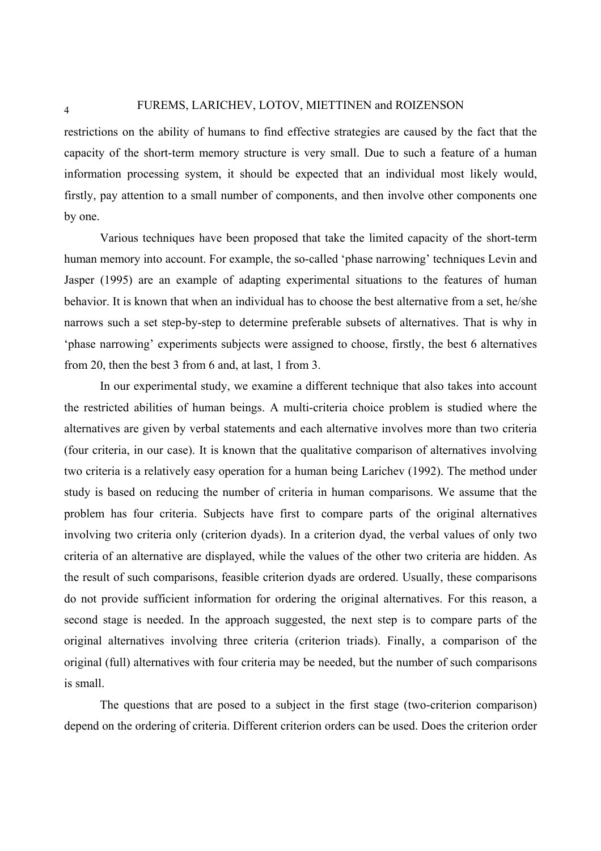restrictions on the ability of humans to find effective strategies are caused by the fact that the capacity of the short-term memory structure is very small. Due to such a feature of a human information processing system, it should be expected that an individual most likely would, firstly, pay attention to a small number of components, and then involve other components one by one.

Various techniques have been proposed that take the limited capacity of the short-term human memory into account. For example, the so-called 'phase narrowing' techniques Levin and Jasper (1995) are an example of adapting experimental situations to the features of human behavior. It is known that when an individual has to choose the best alternative from a set, he/she narrows such a set step-by-step to determine preferable subsets of alternatives. That is why in 'phase narrowing' experiments subjects were assigned to choose, firstly, the best 6 alternatives from 20, then the best 3 from 6 and, at last, 1 from 3.

In our experimental study, we examine a different technique that also takes into account the restricted abilities of human beings. A multi-criteria choice problem is studied where the alternatives are given by verbal statements and each alternative involves more than two criteria (four criteria, in our case). It is known that the qualitative comparison of alternatives involving two criteria is a relatively easy operation for a human being Larichev (1992). The method under study is based on reducing the number of criteria in human comparisons. We assume that the problem has four criteria. Subjects have first to compare parts of the original alternatives involving two criteria only (criterion dyads). In a criterion dyad, the verbal values of only two criteria of an alternative are displayed, while the values of the other two criteria are hidden. As the result of such comparisons, feasible criterion dyads are ordered. Usually, these comparisons do not provide sufficient information for ordering the original alternatives. For this reason, a second stage is needed. In the approach suggested, the next step is to compare parts of the original alternatives involving three criteria (criterion triads). Finally, a comparison of the original (full) alternatives with four criteria may be needed, but the number of such comparisons is small.

The questions that are posed to a subject in the first stage (two-criterion comparison) depend on the ordering of criteria. Different criterion orders can be used. Does the criterion order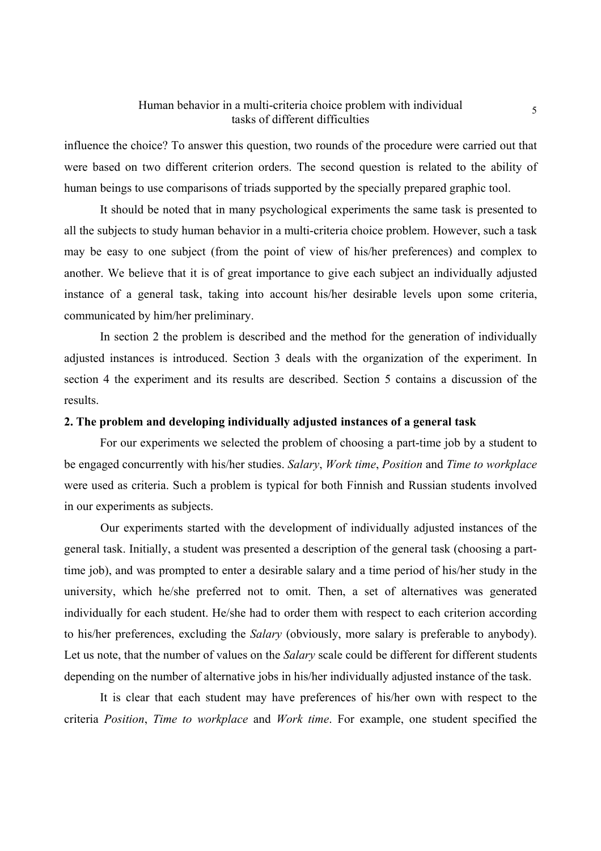influence the choice? To answer this question, two rounds of the procedure were carried out that were based on two different criterion orders. The second question is related to the ability of human beings to use comparisons of triads supported by the specially prepared graphic tool.

It should be noted that in many psychological experiments the same task is presented to all the subjects to study human behavior in a multi-criteria choice problem. However, such a task may be easy to one subject (from the point of view of his/her preferences) and complex to another. We believe that it is of great importance to give each subject an individually adjusted instance of a general task, taking into account his/her desirable levels upon some criteria, communicated by him/her preliminary.

In section 2 the problem is described and the method for the generation of individually adjusted instances is introduced. Section 3 deals with the organization of the experiment. In section 4 the experiment and its results are described. Section 5 contains a discussion of the results.

#### **2. The problem and developing individually adjusted instances of a general task**

For our experiments we selected the problem of choosing a part-time job by a student to be engaged concurrently with his/her studies. *Salary*, *Work time*, *Position* and *Time to workplace* were used as criteria. Such a problem is typical for both Finnish and Russian students involved in our experiments as subjects.

Our experiments started with the development of individually adjusted instances of the general task. Initially, a student was presented a description of the general task (choosing a parttime job), and was prompted to enter a desirable salary and a time period of his/her study in the university, which he/she preferred not to omit. Then, a set of alternatives was generated individually for each student. He/she had to order them with respect to each criterion according to his/her preferences, excluding the *Salary* (obviously, more salary is preferable to anybody). Let us note, that the number of values on the *Salary* scale could be different for different students depending on the number of alternative jobs in his/her individually adjusted instance of the task.

It is clear that each student may have preferences of his/her own with respect to the criteria *Position*, *Time to workplace* and *Work time*. For example, one student specified the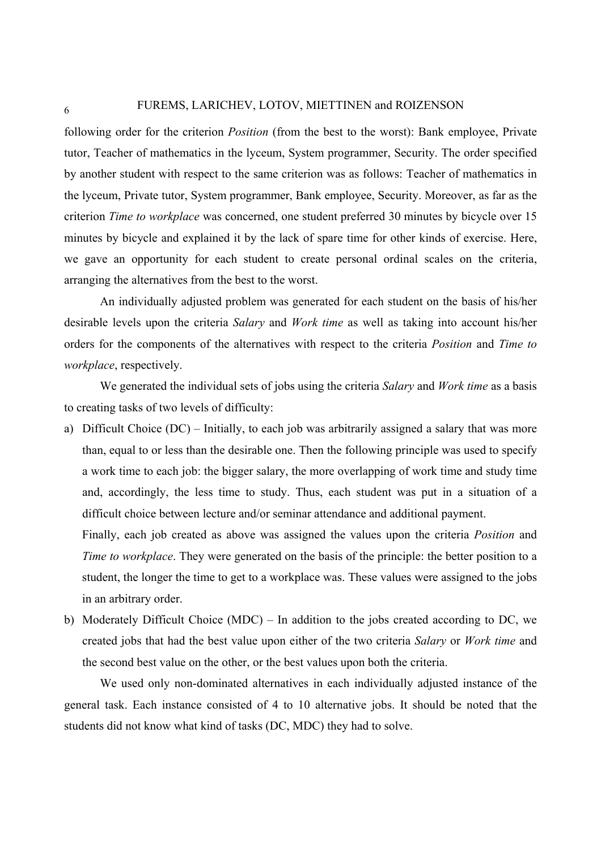following order for the criterion *Position* (from the best to the worst): Bank employee, Private tutor, Teacher of mathematics in the lyceum, System programmer, Security. The order specified by another student with respect to the same criterion was as follows: Teacher of mathematics in the lyceum, Private tutor, System programmer, Bank employee, Security. Moreover, as far as the criterion *Time to workplace* was concerned, one student preferred 30 minutes by bicycle over 15 minutes by bicycle and explained it by the lack of spare time for other kinds of exercise. Here, we gave an opportunity for each student to create personal ordinal scales on the criteria, arranging the alternatives from the best to the worst.

An individually adjusted problem was generated for each student on the basis of his/her desirable levels upon the criteria *Salary* and *Work time* as well as taking into account his/her orders for the components of the alternatives with respect to the criteria *Position* and *Time to workplace*, respectively.

We generated the individual sets of jobs using the criteria *Salary* and *Work time* as a basis to creating tasks of two levels of difficulty:

a) Difficult Choice (DC) – Initially, to each job was arbitrarily assigned a salary that was more than, equal to or less than the desirable one. Then the following principle was used to specify a work time to each job: the bigger salary, the more overlapping of work time and study time and, accordingly, the less time to study. Thus, each student was put in a situation of a difficult choice between lecture and/or seminar attendance and additional payment.

Finally, each job created as above was assigned the values upon the criteria *Position* and *Time to workplace*. They were generated on the basis of the principle: the better position to a student, the longer the time to get to a workplace was. These values were assigned to the jobs in an arbitrary order.

b) Moderately Difficult Choice (MDC) – In addition to the jobs created according to DC, we created jobs that had the best value upon either of the two criteria *Salary* or *Work time* and the second best value on the other, or the best values upon both the criteria.

We used only non-dominated alternatives in each individually adjusted instance of the general task. Each instance consisted of 4 to 10 alternative jobs. It should be noted that the students did not know what kind of tasks (DC, MDC) they had to solve.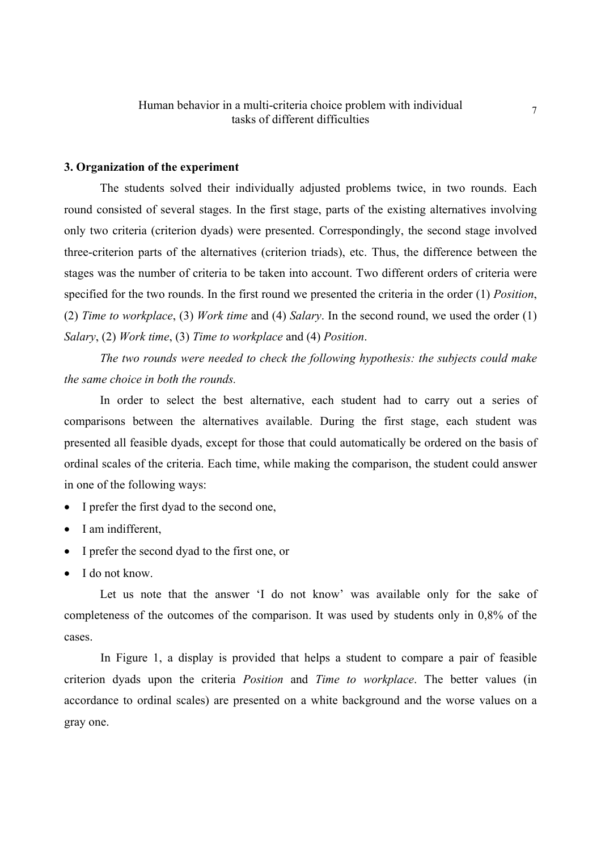#### **3. Organization of the experiment**

The students solved their individually adjusted problems twice, in two rounds. Each round consisted of several stages. In the first stage, parts of the existing alternatives involving only two criteria (criterion dyads) were presented. Correspondingly, the second stage involved three-criterion parts of the alternatives (criterion triads), etc. Thus, the difference between the stages was the number of criteria to be taken into account. Two different orders of criteria were specified for the two rounds. In the first round we presented the criteria in the order (1) *Position*, (2) *Time to workplace*, (3) *Work time* and (4) *Salary*. In the second round, we used the order (1) *Salary*, (2) *Work time*, (3) *Time to workplace* and (4) *Position*.

*The two rounds were needed to check the following hypothesis: the subjects could make the same choice in both the rounds.*

In order to select the best alternative, each student had to carry out a series of comparisons between the alternatives available. During the first stage, each student was presented all feasible dyads, except for those that could automatically be ordered on the basis of ordinal scales of the criteria. Each time, while making the comparison, the student could answer in one of the following ways:

- I prefer the first dyad to the second one,
- I am indifferent,
- I prefer the second dyad to the first one, or
- I do not know.

Let us note that the answer 'I do not know' was available only for the sake of completeness of the outcomes of the comparison. It was used by students only in 0,8% of the cases.

In Figure 1, a display is provided that helps a student to compare a pair of feasible criterion dyads upon the criteria *Position* and *Time to workplace*. The better values (in accordance to ordinal scales) are presented on a white background and the worse values on a gray one.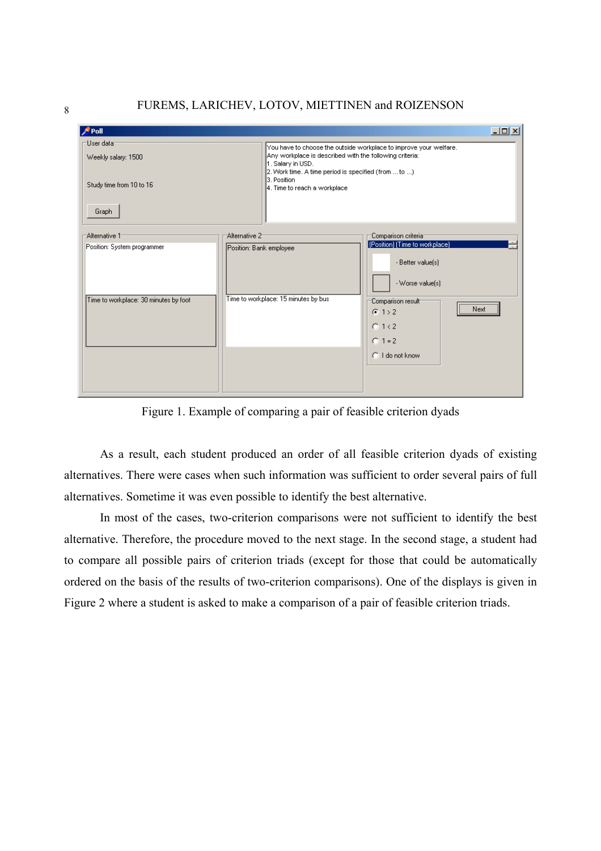| <b>A</b> Poll                                                                                                                                   | $\Box$ D $\times$                                                                                                                                                                                                                                        |  |
|-------------------------------------------------------------------------------------------------------------------------------------------------|----------------------------------------------------------------------------------------------------------------------------------------------------------------------------------------------------------------------------------------------------------|--|
| -User data <sup>.</sup><br>Weekly salary: 1500<br>Study time from 10 to 16<br>Graph                                                             | You have to choose the outside workplace to improve your welfare.<br>Any workplace is described with the following criteria:<br>1. Salary in USD.<br>2. Work time. A time period is specified (from  to )<br>3. Position<br>4. Time to reach a workplace |  |
| ⊤Alternative 1 <sup>.</sup><br>Alternative 2<br>Position: System programmer<br>Position: Bank employee<br>Time to workplace: 30 minutes by foot | Comparison criteria<br>(Position) (Time to workplace)<br>- Better value(s)<br>- Worse value[s]<br>Time to workplace: 15 minutes by bus<br>Comparison result                                                                                              |  |
|                                                                                                                                                 | Next<br>$G = 1 > 2$<br>C <sub>1</sub> < 2<br>$C = 1 = 2$<br>C I do not know                                                                                                                                                                              |  |

Figure 1. Example of comparing a pair of feasible criterion dyads

As a result, each student produced an order of all feasible criterion dyads of existing alternatives. There were cases when such information was sufficient to order several pairs of full alternatives. Sometime it was even possible to identify the best alternative.

In most of the cases, two-criterion comparisons were not sufficient to identify the best alternative. Therefore, the procedure moved to the next stage. In the second stage, a student had to compare all possible pairs of criterion triads (except for those that could be automatically ordered on the basis of the results of two-criterion comparisons). One of the displays is given in Figure 2 where a student is asked to make a comparison of a pair of feasible criterion triads.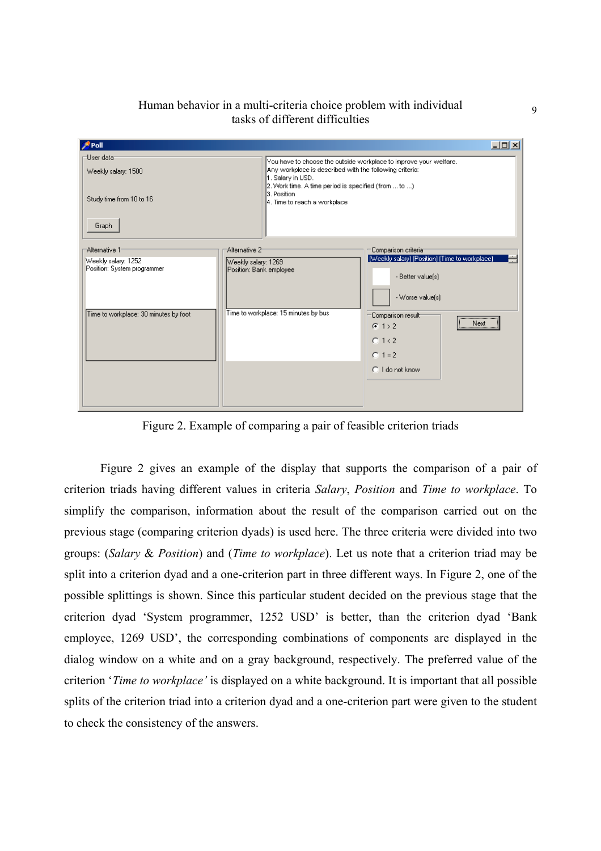| <b>Poll</b>                                                                                                                |                                                                                                                                                                                                                                                                             | $\Box$ D $\Box$                                                   |  |  |
|----------------------------------------------------------------------------------------------------------------------------|-----------------------------------------------------------------------------------------------------------------------------------------------------------------------------------------------------------------------------------------------------------------------------|-------------------------------------------------------------------|--|--|
| -User data-<br>Weekly salary: 1500<br>Study time from 10 to 16<br>Graph                                                    | Any workplace is described with the following criteria:<br>1. Salary in USD.<br>2. Work time. A time period is specified (from  to )<br>3. Position<br>4. Time to reach a workplace                                                                                         | You have to choose the outside workplace to improve your welfare. |  |  |
| -Alternative 1 <sup>.</sup><br>Weekly salary: 1252<br>Position: System programmer<br>Time to workplace: 30 minutes by foot | Alternative 2<br>Comparison criteria<br>Weekly salary: 1269<br>Position: Bank employee<br>- Better value[s]<br>- Worse value[s]<br>Time to workplace: 15 minutes by bus-<br>Comparison result<br>$\binom{2}{1}$ 1 > 2<br>C <sub>1</sub> < 2<br>$0.1 = 2$<br>C I do not know | (Weekly salary) (Position) (Time to workplace)<br>Next            |  |  |

Figure 2. Example of comparing a pair of feasible criterion triads

Figure 2 gives an example of the display that supports the comparison of a pair of criterion triads having different values in criteria *Salary*, *Position* and *Time to workplace*. To simplify the comparison, information about the result of the comparison carried out on the previous stage (comparing criterion dyads) is used here. The three criteria were divided into two groups: (*Salary* & *Position*) and (*Time to workplace*). Let us note that a criterion triad may be split into a criterion dyad and a one-criterion part in three different ways. In Figure 2, one of the possible splittings is shown. Since this particular student decided on the previous stage that the criterion dyad 'System programmer, 1252 USD' is better, than the criterion dyad 'Bank employee, 1269 USD', the corresponding combinations of components are displayed in the dialog window on a white and on a gray background, respectively. The preferred value of the criterion '*Time to workplace'* is displayed on a white background. It is important that all possible splits of the criterion triad into a criterion dyad and a one-criterion part were given to the student to check the consistency of the answers.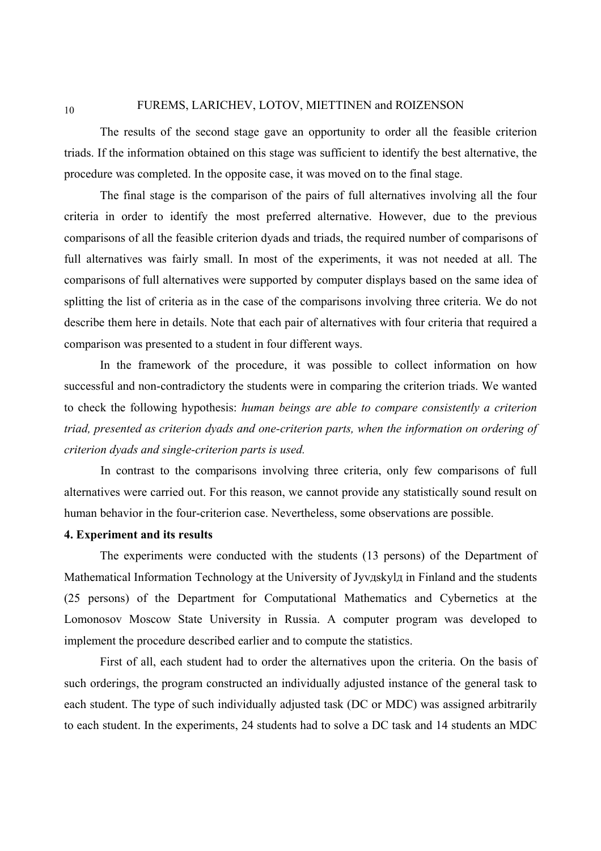The results of the second stage gave an opportunity to order all the feasible criterion triads. If the information obtained on this stage was sufficient to identify the best alternative, the procedure was completed. In the opposite case, it was moved on to the final stage.

The final stage is the comparison of the pairs of full alternatives involving all the four criteria in order to identify the most preferred alternative. However, due to the previous comparisons of all the feasible criterion dyads and triads, the required number of comparisons of full alternatives was fairly small. In most of the experiments, it was not needed at all. The comparisons of full alternatives were supported by computer displays based on the same idea of splitting the list of criteria as in the case of the comparisons involving three criteria. We do not describe them here in details. Note that each pair of alternatives with four criteria that required a comparison was presented to a student in four different ways.

In the framework of the procedure, it was possible to collect information on how successful and non-contradictory the students were in comparing the criterion triads. We wanted to check the following hypothesis: *human beings are able to compare consistently a criterion triad, presented as criterion dyads and one-criterion parts, when the information on ordering of criterion dyads and single-criterion parts is used.*

In contrast to the comparisons involving three criteria, only few comparisons of full alternatives were carried out. For this reason, we cannot provide any statistically sound result on human behavior in the four-criterion case. Nevertheless, some observations are possible.

#### **4. Experiment and its results**

The experiments were conducted with the students (13 persons) of the Department of Mathematical Information Technology at the University of Jyvдskylд in Finland and the students (25 persons) of the Department for Computational Mathematics and Cybernetics at the Lomonosov Moscow State University in Russia. A computer program was developed to implement the procedure described earlier and to compute the statistics.

First of all, each student had to order the alternatives upon the criteria. On the basis of such orderings, the program constructed an individually adjusted instance of the general task to each student. The type of such individually adjusted task (DC or MDC) was assigned arbitrarily to each student. In the experiments, 24 students had to solve a DC task and 14 students an MDC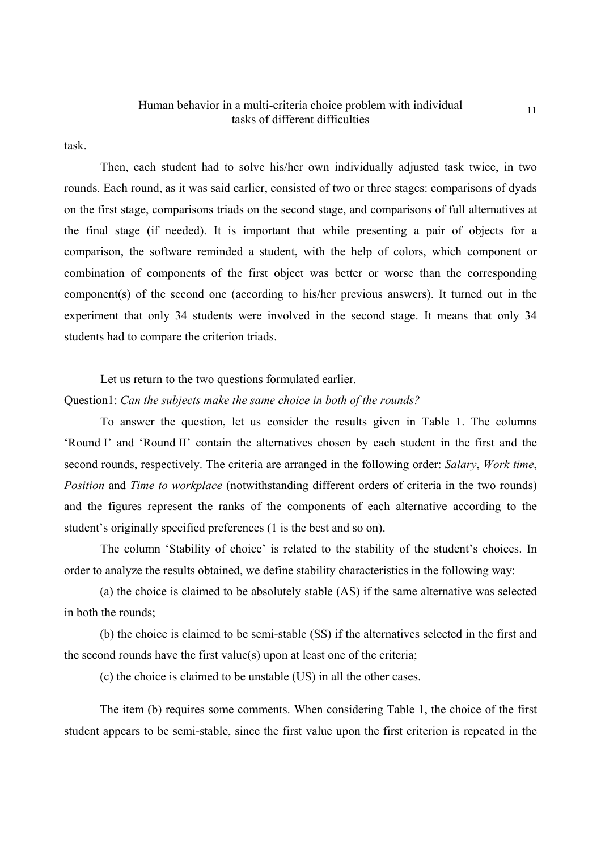task.

Then, each student had to solve his/her own individually adjusted task twice, in two rounds. Each round, as it was said earlier, consisted of two or three stages: comparisons of dyads on the first stage, comparisons triads on the second stage, and comparisons of full alternatives at the final stage (if needed). It is important that while presenting a pair of objects for a comparison, the software reminded a student, with the help of colors, which component or combination of components of the first object was better or worse than the corresponding component(s) of the second one (according to his/her previous answers). It turned out in the experiment that only 34 students were involved in the second stage. It means that only 34 students had to compare the criterion triads.

Let us return to the two questions formulated earlier. Question1: *Can the subjects make the same choice in both of the rounds?*

To answer the question, let us consider the results given in Table 1. The columns 'Round I' and 'Round II' contain the alternatives chosen by each student in the first and the second rounds, respectively. The criteria are arranged in the following order: *Salary*, *Work time*, *Position* and *Time to workplace* (notwithstanding different orders of criteria in the two rounds) and the figures represent the ranks of the components of each alternative according to the student's originally specified preferences (1 is the best and so on).

The column 'Stability of choice' is related to the stability of the student's choices. In order to analyze the results obtained, we define stability characteristics in the following way:

(a) the choice is claimed to be absolutely stable (AS) if the same alternative was selected in both the rounds;

(b) the choice is claimed to be semi-stable (SS) if the alternatives selected in the first and the second rounds have the first value(s) upon at least one of the criteria;

(c) the choice is claimed to be unstable (US) in all the other cases.

The item (b) requires some comments. When considering Table 1, the choice of the first student appears to be semi-stable, since the first value upon the first criterion is repeated in the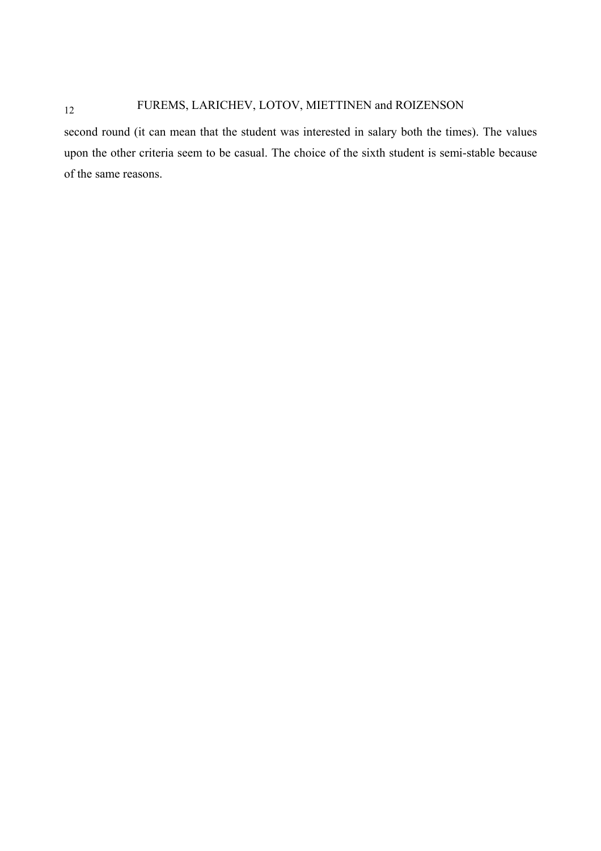second round (it can mean that the student was interested in salary both the times). The values upon the other criteria seem to be casual. The choice of the sixth student is semi-stable because of the same reasons.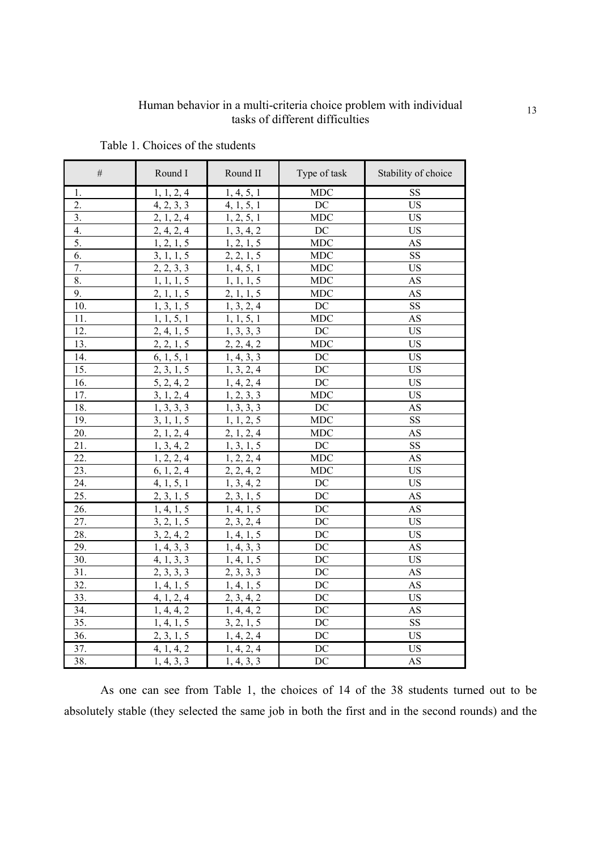| $\#$             | Round I                 | Round II                | Type of task    | Stability of choice |
|------------------|-------------------------|-------------------------|-----------------|---------------------|
| 1.               | 1, 1, 2, 4              | 1, 4, 5, 1              | <b>MDC</b>      | SS                  |
| $\overline{2}$ . | 4, 2, 3, 3              | 4, 1, 5, 1              | DC              | $\overline{US}$     |
| 3.               | 2, 1, 2, 4              | 1, 2, 5, 1              | <b>MDC</b>      | <b>US</b>           |
| $\overline{4}$ . | 2, 4, 2, 4              | $\overline{1, 3, 4, 2}$ | $\overline{DC}$ | $\overline{US}$     |
| 5.               | 1, 2, 1, 5              | 1, 2, 1, 5              | <b>MDC</b>      | AS                  |
| 6.               | 3, 1, 1, 5              | 2, 2, 1, 5              | <b>MDC</b>      | SS                  |
| 7.               | 2, 2, 3, 3              | 1, 4, 5, 1              | <b>MDC</b>      | <b>US</b>           |
| 8.               | 1, 1, 1, 5              | 1, 1, 1, 5              | <b>MDC</b>      | AS                  |
| 9.               | 2, 1, 1, 5              | 2, 1, 1, 5              | <b>MDC</b>      | AS                  |
| 10.              | 1, 3, 1, 5              | 1, 3, 2, 4              | DC              | SS                  |
| 11.              | 1, 1, 5, 1              | 1, 1, 5, 1              | <b>MDC</b>      | AS                  |
| 12.              | 2, 4, 1, 5              | 1, 3, 3, 3              | DC              | <b>US</b>           |
| 13.              | 2, 2, 1, 5              | 2, 2, 4, 2              | <b>MDC</b>      | <b>US</b>           |
| 14.              | 6, 1, 5, 1              | 1, 4, 3, 3              | DC              | <b>US</b>           |
| 15.              | 2, 3, 1, 5              | 1, 3, 2, 4              | DC              | <b>US</b>           |
| 16.              | 5, 2, 4, 2              | 1, 4, 2, 4              | DC              | <b>US</b>           |
| 17.              | 3, 1, 2, 4              | 1, 2, 3, 3              | <b>MDC</b>      | <b>US</b>           |
| 18.              | 1, 3, 3, 3              | 1, 3, 3, 3              | DC              | AS                  |
| 19.              | 3, 1, 1, 5              | 1, 1, 2, 5              | <b>MDC</b>      | SS                  |
| 20.              | 2, 1, 2, 4              | 2, 1, 2, 4              | <b>MDC</b>      | AS                  |
| 21.              | 1, 3, 4, 2              | 1, 3, 1, 5              | DC              | <b>SS</b>           |
| 22.              | 1, 2, 2, 4              | 1, 2, 2, 4              | <b>MDC</b>      | AS                  |
| 23.              | 6, 1, 2, 4              | 2, 2, 4, 2              | <b>MDC</b>      | $\overline{US}$     |
| 24.              | 4, 1, 5, 1              | 1, 3, 4, 2              | DC              | <b>US</b>           |
| 25.              | $\overline{2, 3, 1, 5}$ | 2, 3, 1, 5              | DC              | AS                  |
| 26.              | 1, 4, 1, 5              | 1, 4, 1, 5              | DC              | AS                  |
| 27.              | 3, 2, 1, 5              | 2, 3, 2, 4              | DC              | <b>US</b>           |
| 28.              | 3, 2, 4, 2              | 1, 4, 1, 5              | DC              | <b>US</b>           |
| 29.              | 1, 4, 3, 3              | 1, 4, 3, 3              | DC              | AS                  |
| 30.              | 4, 1, 3, 3              | 1, 4, 1, 5              | DC              | $\overline{US}$     |
| 31.              | 2, 3, 3, 3              | 2, 3, 3, 3              | DC              | AS                  |
| 32.              | 1, 4, 1, 5              | 1, 4, 1, 5              | DC              | AS                  |
| 33.              | 4, 1, 2, 4              | 2, 3, 4, 2              | DC              | <b>US</b>           |
| 34.              | 1, 4, 4, 2              | 1, 4, 4, 2              | DC              | AS                  |
| 35.              | 1, 4, 1, 5              | 3, 2, 1, 5              | DC              | SS                  |
| 36.              | 2, 3, 1, 5              | 1, 4, 2, 4              | DC              | <b>US</b>           |
| 37.              | 4, 1, 4, 2              | 1, 4, 2, 4              | DC              | <b>US</b>           |
| 38.              | 1, 4, 3, 3              | 1, 4, 3, 3              | DC              | AS                  |

As one can see from Table 1, the choices of 14 of the 38 students turned out to be absolutely stable (they selected the same job in both the first and in the second rounds) and the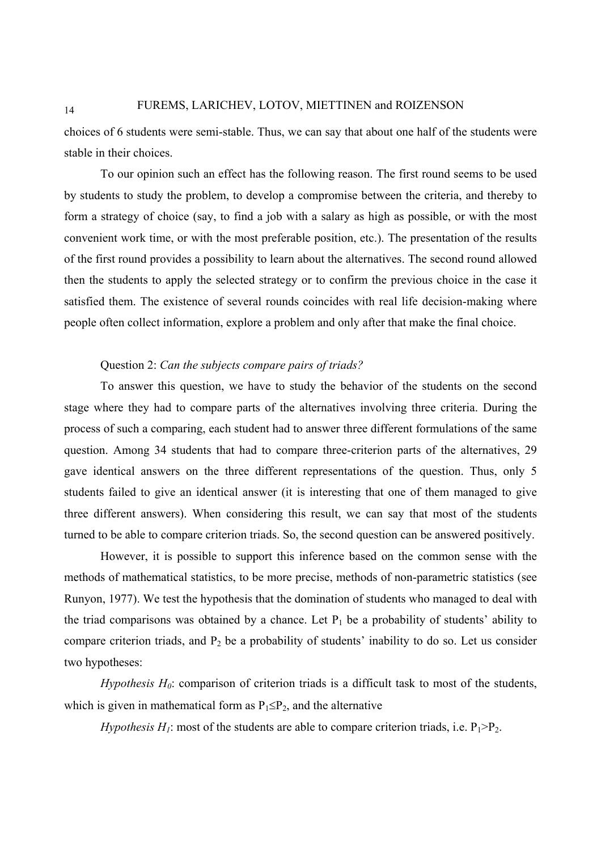choices of 6 students were semi-stable. Thus, we can say that about one half of the students were stable in their choices.

To our opinion such an effect has the following reason. The first round seems to be used by students to study the problem, to develop a compromise between the criteria, and thereby to form a strategy of choice (say, to find a job with a salary as high as possible, or with the most convenient work time, or with the most preferable position, etc.). The presentation of the results of the first round provides a possibility to learn about the alternatives. The second round allowed then the students to apply the selected strategy or to confirm the previous choice in the case it satisfied them. The existence of several rounds coincides with real life decision-making where people often collect information, explore a problem and only after that make the final choice.

#### Question 2: *Can the subjects compare pairs of triads?*

To answer this question, we have to study the behavior of the students on the second stage where they had to compare parts of the alternatives involving three criteria. During the process of such a comparing, each student had to answer three different formulations of the same question. Among 34 students that had to compare three-criterion parts of the alternatives, 29 gave identical answers on the three different representations of the question. Thus, only 5 students failed to give an identical answer (it is interesting that one of them managed to give three different answers). When considering this result, we can say that most of the students turned to be able to compare criterion triads. So, the second question can be answered positively.

However, it is possible to support this inference based on the common sense with the methods of mathematical statistics, to be more precise, methods of non-parametric statistics (see Runyon, 1977). We test the hypothesis that the domination of students who managed to deal with the triad comparisons was obtained by a chance. Let  $P_1$  be a probability of students' ability to compare criterion triads, and  $P_2$  be a probability of students' inability to do so. Let us consider two hypotheses:

*Hypothesis H<sub>0</sub>*: comparison of criterion triads is a difficult task to most of the students, which is given in mathematical form as  $P_1 \le P_2$ , and the alternative

*Hypothesis H<sub>1</sub>*: most of the students are able to compare criterion triads, i.e.  $P_1 > P_2$ .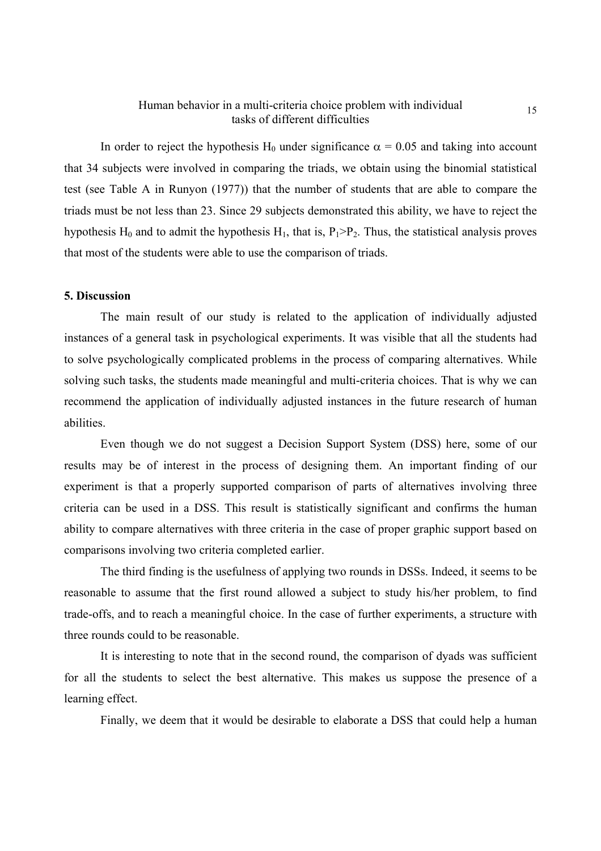In order to reject the hypothesis H<sub>0</sub> under significance  $\alpha = 0.05$  and taking into account that 34 subjects were involved in comparing the triads, we obtain using the binomial statistical test (see Table A in Runyon (1977)) that the number of students that are able to compare the triads must be not less than 23. Since 29 subjects demonstrated this ability, we have to reject the hypothesis H<sub>0</sub> and to admit the hypothesis H<sub>1</sub>, that is,  $P_1>P_2$ . Thus, the statistical analysis proves that most of the students were able to use the comparison of triads.

### **5. Discussion**

The main result of our study is related to the application of individually adjusted instances of a general task in psychological experiments. It was visible that all the students had to solve psychologically complicated problems in the process of comparing alternatives. While solving such tasks, the students made meaningful and multi-criteria choices. That is why we can recommend the application of individually adjusted instances in the future research of human abilities.

Even though we do not suggest a Decision Support System (DSS) here, some of our results may be of interest in the process of designing them. An important finding of our experiment is that a properly supported comparison of parts of alternatives involving three criteria can be used in a DSS. This result is statistically significant and confirms the human ability to compare alternatives with three criteria in the case of proper graphic support based on comparisons involving two criteria completed earlier.

The third finding is the usefulness of applying two rounds in DSSs. Indeed, it seems to be reasonable to assume that the first round allowed a subject to study his/her problem, to find trade-offs, and to reach a meaningful choice. In the case of further experiments, a structure with three rounds could to be reasonable.

It is interesting to note that in the second round, the comparison of dyads was sufficient for all the students to select the best alternative. This makes us suppose the presence of a learning effect.

Finally, we deem that it would be desirable to elaborate a DSS that could help a human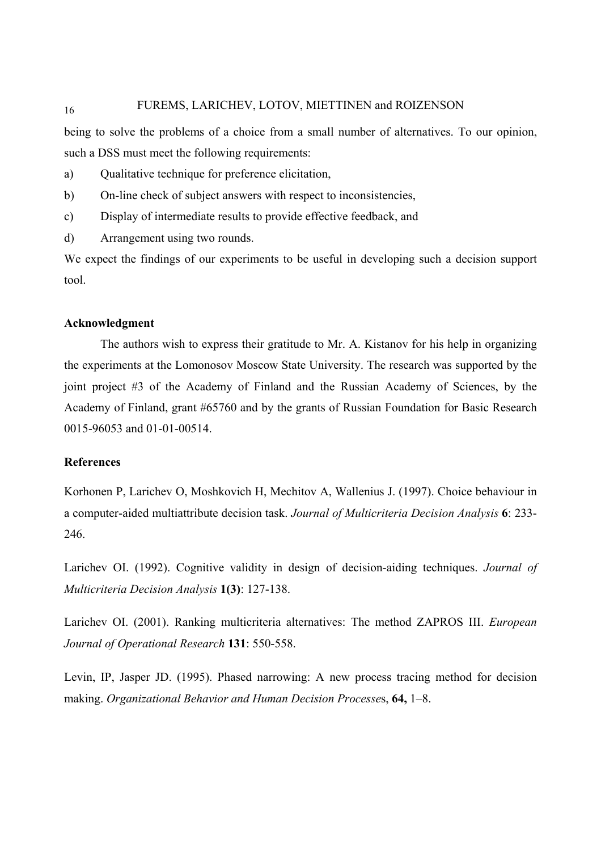being to solve the problems of a choice from a small number of alternatives. To our opinion, such a DSS must meet the following requirements:

a) Qualitative technique for preference elicitation,

b) On-line check of subject answers with respect to inconsistencies,

c) Display of intermediate results to provide effective feedback, and

d) Arrangement using two rounds.

We expect the findings of our experiments to be useful in developing such a decision support tool.

#### **Acknowledgment**

The authors wish to express their gratitude to Mr. A. Kistanov for his help in organizing the experiments at the Lomonosov Moscow State University. The research was supported by the joint project #3 of the Academy of Finland and the Russian Academy of Sciences, by the Academy of Finland, grant #65760 and by the grants of Russian Foundation for Basic Research 0015-96053 and 01-01-00514.

### **References**

Korhonen P, Larichev O, Moshkovich H, Mechitov A, Wallenius J. (1997). Choice behaviour in a computer-aided multiattribute decision task. *Journal of Multicriteria Decision Analysis* **6**: 233- 246.

Larichev OI. (1992). Cognitive validity in design of decision-aiding techniques. *Journal of Multicriteria Decision Analysis* **1(3)**: 127-138.

Larichev OI. (2001). Ranking multicriteria alternatives: The method ZAPROS III. *European Journal of Operational Research* **131**: 550-558.

Levin, IP, Jasper JD. (1995). Phased narrowing: A new process tracing method for decision making. *Organizational Behavior and Human Decision Processe*s, **64,** 1–8.